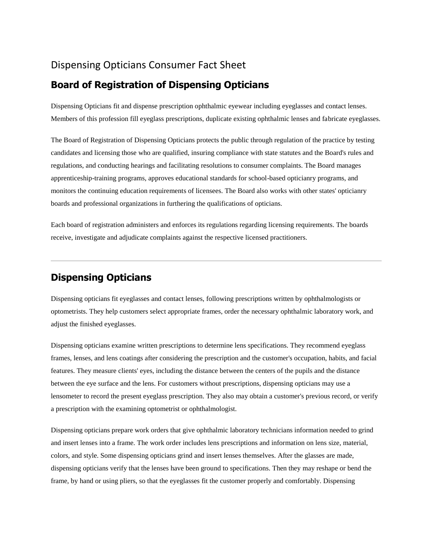## Dispensing Opticians Consumer Fact Sheet

## **Board of Registration of Dispensing Opticians**

Dispensing Opticians fit and dispense prescription ophthalmic eyewear including eyeglasses and contact lenses. Members of this profession fill eyeglass prescriptions, duplicate existing ophthalmic lenses and fabricate eyeglasses.

The Board of Registration of Dispensing Opticians protects the public through regulation of the practice by testing candidates and licensing those who are qualified, insuring compliance with state statutes and the Board's rules and regulations, and conducting hearings and facilitating resolutions to consumer complaints. The Board manages apprenticeship-training programs, approves educational standards for school-based opticianry programs, and monitors the continuing education requirements of licensees. The Board also works with other states' opticianry boards and professional organizations in furthering the qualifications of opticians.

Each board of registration administers and enforces its regulations regarding licensing requirements. The boards receive, investigate and adjudicate complaints against the respective licensed practitioners.

# **Dispensing Opticians**

Dispensing opticians fit eyeglasses and contact lenses, following prescriptions written by ophthalmologists or optometrists. They help customers select appropriate frames, order the necessary ophthalmic laboratory work, and adjust the finished eyeglasses.

Dispensing opticians examine written prescriptions to determine lens specifications. They recommend eyeglass frames, lenses, and lens coatings after considering the prescription and the customer's occupation, habits, and facial features. They measure clients' eyes, including the distance between the centers of the pupils and the distance between the eye surface and the lens. For customers without prescriptions, dispensing opticians may use a lensometer to record the present eyeglass prescription. They also may obtain a customer's previous record, or verify a prescription with the examining optometrist or ophthalmologist.

Dispensing opticians prepare work orders that give ophthalmic laboratory technicians information needed to grind and insert lenses into a frame. The work order includes lens prescriptions and information on lens size, material, colors, and style. Some dispensing opticians grind and insert lenses themselves. After the glasses are made, dispensing opticians verify that the lenses have been ground to specifications. Then they may reshape or bend the frame, by hand or using pliers, so that the eyeglasses fit the customer properly and comfortably. Dispensing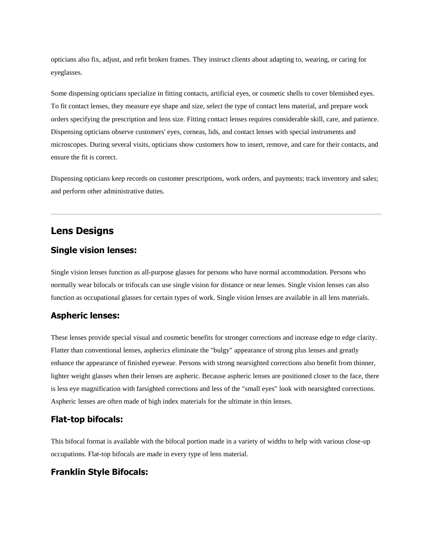opticians also fix, adjust, and refit broken frames. They instruct clients about adapting to, wearing, or caring for eyeglasses.

Some dispensing opticians specialize in fitting contacts, artificial eyes, or cosmetic shells to cover blemished eyes. To fit contact lenses, they measure eye shape and size, select the type of contact lens material, and prepare work orders specifying the prescription and lens size. Fitting contact lenses requires considerable skill, care, and patience. Dispensing opticians observe customers' eyes, corneas, lids, and contact lenses with special instruments and microscopes. During several visits, opticians show customers how to insert, remove, and care for their contacts, and ensure the fit is correct.

Dispensing opticians keep records on customer prescriptions, work orders, and payments; track inventory and sales; and perform other administrative duties.

## **Lens Designs**

### **Single vision lenses:**

Single vision lenses function as all-purpose glasses for persons who have normal accommodation. Persons who normally wear bifocals or trifocals can use single vision for distance or near lenses. Single vision lenses can also function as occupational glasses for certain types of work. Single vision lenses are available in all lens materials.

### **Aspheric lenses:**

These lenses provide special visual and cosmetic benefits for stronger corrections and increase edge to edge clarity. Flatter than conventional lenses, aspherics eliminate the "bulgy" appearance of strong plus lenses and greatly enhance the appearance of finished eyewear. Persons with strong nearsighted corrections also benefit from thinner, lighter weight glasses when their lenses are aspheric. Because aspheric lenses are positioned closer to the face, there is less eye magnification with farsighted corrections and less of the "small eyes" look with nearsighted corrections. Aspheric lenses are often made of high index materials for the ultimate in thin lenses.

### **Flat-top bifocals:**

This bifocal format is available with the bifocal portion made in a variety of widths to help with various close-up occupations. Flat-top bifocals are made in every type of lens material.

### **Franklin Style Bifocals:**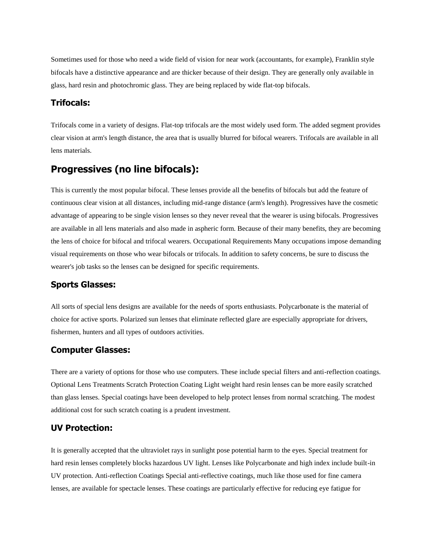Sometimes used for those who need a wide field of vision for near work (accountants, for example), Franklin style bifocals have a distinctive appearance and are thicker because of their design. They are generally only available in glass, hard resin and photochromic glass. They are being replaced by wide flat-top bifocals.

### **Trifocals:**

Trifocals come in a variety of designs. Flat-top trifocals are the most widely used form. The added segment provides clear vision at arm's length distance, the area that is usually blurred for bifocal wearers. Trifocals are available in all lens materials.

### **Progressives (no line bifocals):**

This is currently the most popular bifocal. These lenses provide all the benefits of bifocals but add the feature of continuous clear vision at all distances, including mid-range distance (arm's length). Progressives have the cosmetic advantage of appearing to be single vision lenses so they never reveal that the wearer is using bifocals. Progressives are available in all lens materials and also made in aspheric form. Because of their many benefits, they are becoming the lens of choice for bifocal and trifocal wearers. Occupational Requirements Many occupations impose demanding visual requirements on those who wear bifocals or trifocals. In addition to safety concerns, be sure to discuss the wearer's job tasks so the lenses can be designed for specific requirements.

### **Sports Glasses:**

All sorts of special lens designs are available for the needs of sports enthusiasts. Polycarbonate is the material of choice for active sports. Polarized sun lenses that eliminate reflected glare are especially appropriate for drivers, fishermen, hunters and all types of outdoors activities.

### **Computer Glasses:**

There are a variety of options for those who use computers. These include special filters and anti-reflection coatings. Optional Lens Treatments Scratch Protection Coating Light weight hard resin lenses can be more easily scratched than glass lenses. Special coatings have been developed to help protect lenses from normal scratching. The modest additional cost for such scratch coating is a prudent investment.

### **UV Protection:**

It is generally accepted that the ultraviolet rays in sunlight pose potential harm to the eyes. Special treatment for hard resin lenses completely blocks hazardous UV light. Lenses like Polycarbonate and high index include built-in UV protection. Anti-reflection Coatings Special anti-reflective coatings, much like those used for fine camera lenses, are available for spectacle lenses. These coatings are particularly effective for reducing eye fatigue for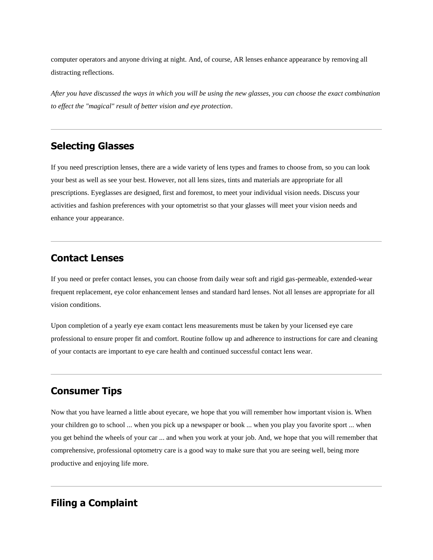computer operators and anyone driving at night. And, of course, AR lenses enhance appearance by removing all distracting reflections.

*After you have discussed the ways in which you will be using the new glasses, you can choose the exact combination to effect the "magical" result of better vision and eye protection*.

### **Selecting Glasses**

If you need prescription lenses, there are a wide variety of lens types and frames to choose from, so you can look your best as well as see your best. However, not all lens sizes, tints and materials are appropriate for all prescriptions. Eyeglasses are designed, first and foremost, to meet your individual vision needs. Discuss your activities and fashion preferences with your optometrist so that your glasses will meet your vision needs and enhance your appearance.

## **Contact Lenses**

If you need or prefer contact lenses, you can choose from daily wear soft and rigid gas-permeable, extended-wear frequent replacement, eye color enhancement lenses and standard hard lenses. Not all lenses are appropriate for all vision conditions.

Upon completion of a yearly eye exam contact lens measurements must be taken by your licensed eye care professional to ensure proper fit and comfort. Routine follow up and adherence to instructions for care and cleaning of your contacts are important to eye care health and continued successful contact lens wear.

# **Consumer Tips**

Now that you have learned a little about eyecare, we hope that you will remember how important vision is. When your children go to school ... when you pick up a newspaper or book ... when you play you favorite sport ... when you get behind the wheels of your car ... and when you work at your job. And, we hope that you will remember that comprehensive, professional optometry care is a good way to make sure that you are seeing well, being more productive and enjoying life more.

## **Filing a Complaint**